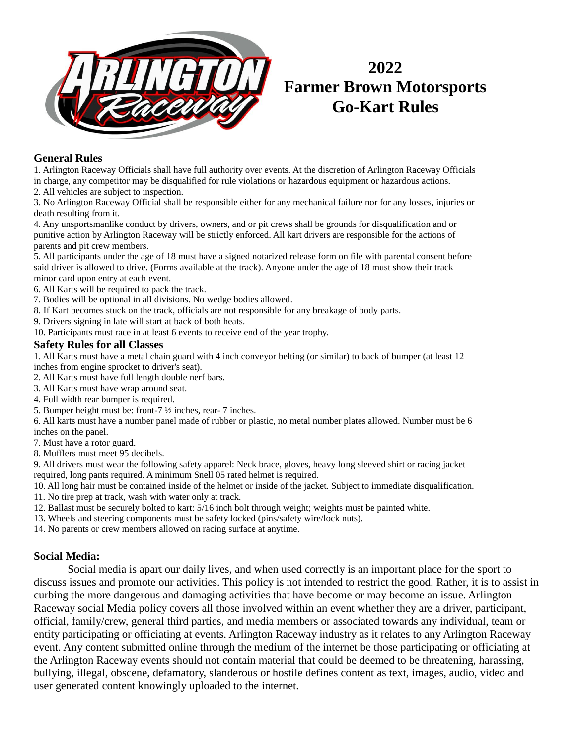

# **2022 Farmer Brown Motorsports Go-Kart Rules**

## **General Rules**

1. Arlington Raceway Officials shall have full authority over events. At the discretion of Arlington Raceway Officials in charge, any competitor may be disqualified for rule violations or hazardous equipment or hazardous actions.

2. All vehicles are subject to inspection.

3. No Arlington Raceway Official shall be responsible either for any mechanical failure nor for any losses, injuries or death resulting from it.

4. Any unsportsmanlike conduct by drivers, owners, and or pit crews shall be grounds for disqualification and or punitive action by Arlington Raceway will be strictly enforced. All kart drivers are responsible for the actions of parents and pit crew members.

5. All participants under the age of 18 must have a signed notarized release form on file with parental consent before said driver is allowed to drive. (Forms available at the track). Anyone under the age of 18 must show their track minor card upon entry at each event.

6. All Karts will be required to pack the track.

7. Bodies will be optional in all divisions. No wedge bodies allowed.

8. If Kart becomes stuck on the track, officials are not responsible for any breakage of body parts.

9. Drivers signing in late will start at back of both heats.

10. Participants must race in at least 6 events to receive end of the year trophy.

### **Safety Rules for all Classes**

1. All Karts must have a metal chain guard with 4 inch conveyor belting (or similar) to back of bumper (at least 12 inches from engine sprocket to driver's seat).

- 2. All Karts must have full length double nerf bars.
- 3. All Karts must have wrap around seat.
- 4. Full width rear bumper is required.
- 5. Bumper height must be: front-7 ½ inches, rear- 7 inches.

6. All karts must have a number panel made of rubber or plastic, no metal number plates allowed. Number must be 6 inches on the panel.

7. Must have a rotor guard.

8. Mufflers must meet 95 decibels.

9. All drivers must wear the following safety apparel: Neck brace, gloves, heavy long sleeved shirt or racing jacket required, long pants required. A minimum Snell 05 rated helmet is required.

10. All long hair must be contained inside of the helmet or inside of the jacket. Subject to immediate disqualification.

11. No tire prep at track, wash with water only at track.

- 12. Ballast must be securely bolted to kart: 5/16 inch bolt through weight; weights must be painted white.
- 13. Wheels and steering components must be safety locked (pins/safety wire/lock nuts).

14. No parents or crew members allowed on racing surface at anytime.

# **Social Media:**

Social media is apart our daily lives, and when used correctly is an important place for the sport to discuss issues and promote our activities. This policy is not intended to restrict the good. Rather, it is to assist in curbing the more dangerous and damaging activities that have become or may become an issue. Arlington Raceway social Media policy covers all those involved within an event whether they are a driver, participant, official, family/crew, general third parties, and media members or associated towards any individual, team or entity participating or officiating at events. Arlington Raceway industry as it relates to any Arlington Raceway event. Any content submitted online through the medium of the internet be those participating or officiating at the Arlington Raceway events should not contain material that could be deemed to be threatening, harassing, bullying, illegal, obscene, defamatory, slanderous or hostile defines content as text, images, audio, video and user generated content knowingly uploaded to the internet.